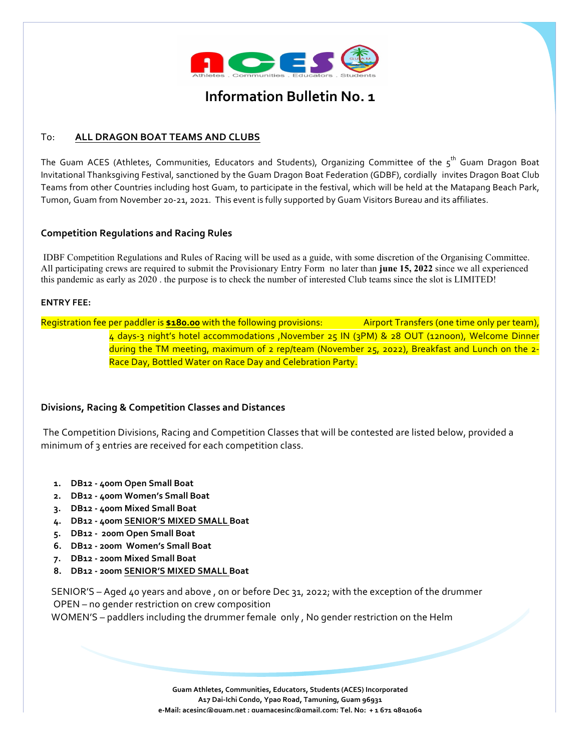

# **Information Bulletin No. 1**

## To: **ALL DRAGON BOAT TEAMS AND CLUBS**

The Guam ACES (Athletes, Communities, Educators and Students), Organizing Committee of the  $5^{th}$  Guam Dragon Boat Invitational Thanksgiving Festival, sanctioned by the Guam Dragon Boat Federation (GDBF), cordially invites Dragon Boat Club Teams from other Countries including host Guam, to participate in the festival, which will be held at the Matapang Beach Park, Tumon, Guam from November 20-21, 2021. This event is fully supported by Guam Visitors Bureau and its affiliates.

#### **Competition Regulations and Racing Rules**

IDBF Competition Regulations and Rules of Racing will be used as a guide, with some discretion of the Organising Committee. All participating crews are required to submit the Provisionary Entry Form no later than **june 15, 2022** since we all experienced this pandemic as early as 2020 . the purpose is to check the number of interested Club teams since the slot is LIMITED!

#### **ENTRY FEE:**

Registration fee per paddler is \$180.00 with the following provisions: **Airport Transfers (one time only per team)**, 4 days-3 night's hotel accommodations ,November 25 IN (3PM) & 28 OUT (12noon), Welcome Dinner during the TM meeting, maximum of 2 rep/team (November 25, 2022), Breakfast and Lunch on the 2-Race Day, Bottled Water on Race Day and Celebration Party.

#### **Divisions, Racing & Competition Classes and Distances**

The Competition Divisions, Racing and Competition Classes that will be contested are listed below, provided a minimum of 3 entries are received for each competition class.

- 1. **DB12 400m Open Small Boat**
- 2. **DB12 400m Women's Small Boat**
- **3. DB12 - 400m Mixed Small Boat**
- 4. **DB12 400m SENIOR'S MIXED SMALL Boat**
- **5. DB12 - 200m Open Small Boat**
- **6. DB12 - 200m Women's Small Boat**
- **7. DB12 - 200m Mixed Small Boat**
- **8. DB12 - 200m SENIOR'S MIXED SMALL Boat**

SENIOR'S - Aged 40 years and above, on or before Dec 31, 2022; with the exception of the drummer OPEN – no gender restriction on crew composition

WOMEN'S – paddlers including the drummer female only, No gender restriction on the Helm

Guam Athletes, Communities, Educators, Students (ACES) Incorporated A17 Dai-Ichi Condo, Ypao Road, Tamuning, Guam 96931 **e-Mail: acesinc@guam.net ; guamacesinc@gmail.com; Tel. No: + 1 671 9891069**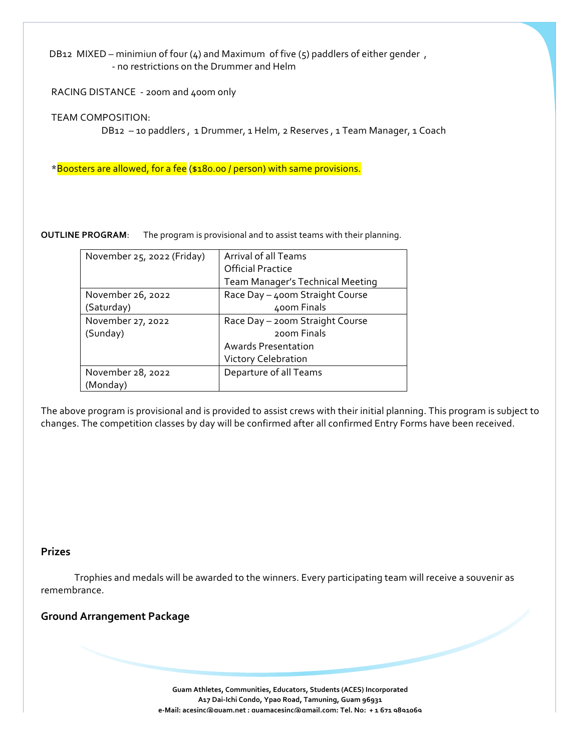DB12 MIXED – minimiun of four (4) and Maximum of five (5) paddlers of either gender, - no restrictions on the Drummer and Helm

RACING DISTANCE - 200m and 400m only

 TEAM COMPOSITION:

DB12 -10 paddlers, 1 Drummer, 1 Helm, 2 Reserves, 1 Team Manager, 1 Coach

\*Boosters are allowed, for a fee (\$180.00 / person) with same provisions.

**OUTLINE PROGRAM:** The program is provisional and to assist teams with their planning.

| November 25, 2022 (Friday) | Arrival of all Teams<br><b>Official Practice</b> |  |
|----------------------------|--------------------------------------------------|--|
|                            |                                                  |  |
|                            | Team Manager's Technical Meeting                 |  |
| November 26, 2022          | Race Day - 400m Straight Course                  |  |
| (Saturday)                 | 400m Finals                                      |  |
| November 27, 2022          | Race Day - 200m Straight Course                  |  |
| (Sunday)                   | 200 <sub>m</sub> Finals                          |  |
|                            | <b>Awards Presentation</b>                       |  |
|                            | Victory Celebration                              |  |
| November 28, 2022          | Departure of all Teams                           |  |
| (Monday)                   |                                                  |  |

The above program is provisional and is provided to assist crews with their initial planning. This program is subject to changes. The competition classes by day will be confirmed after all confirmed Entry Forms have been received.

#### **Prizes**

Trophies and medals will be awarded to the winners. Every participating team will receive a souvenir as remembrance.

# **Ground Arrangement Package**

Guam Athletes, Communities, Educators, Students (ACES) Incorporated A17 Dai-Ichi Condo, Ypao Road, Tamuning, Guam 96931 **e-Mail: acesinc@guam.net ; guamacesinc@gmail.com; Tel. No: + 1 671 9891069**